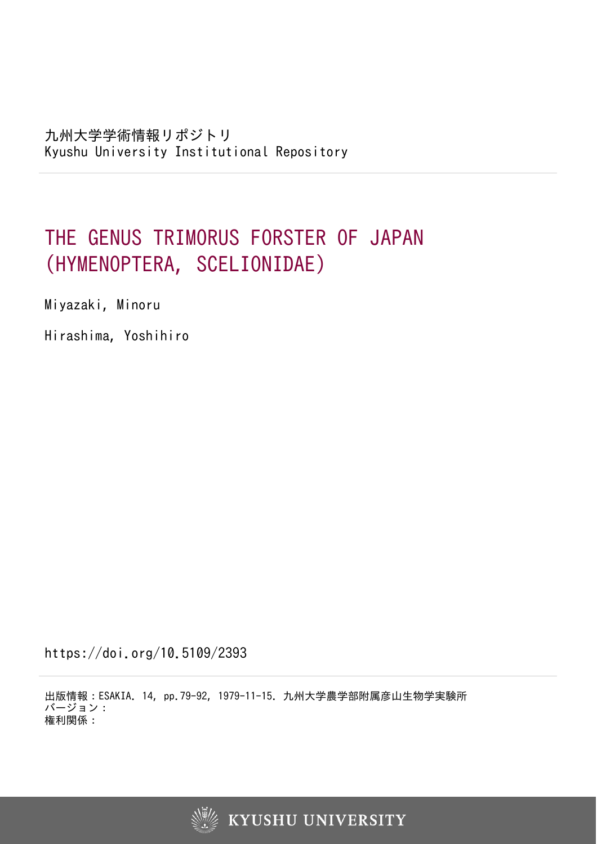# THE GENUS TRIMORUS FORSTER OF JAPAN (HYMENOPTERA, SCELIONIDAE)

Miyazaki, Minoru

Hirashima, Yoshihiro

https://doi.org/10.5109/2393

出版情報:ESAKIA. 14, pp.79-92, 1979-11-15. 九州大学農学部附属彦山生物学実験所 バージョン: 権利関係:

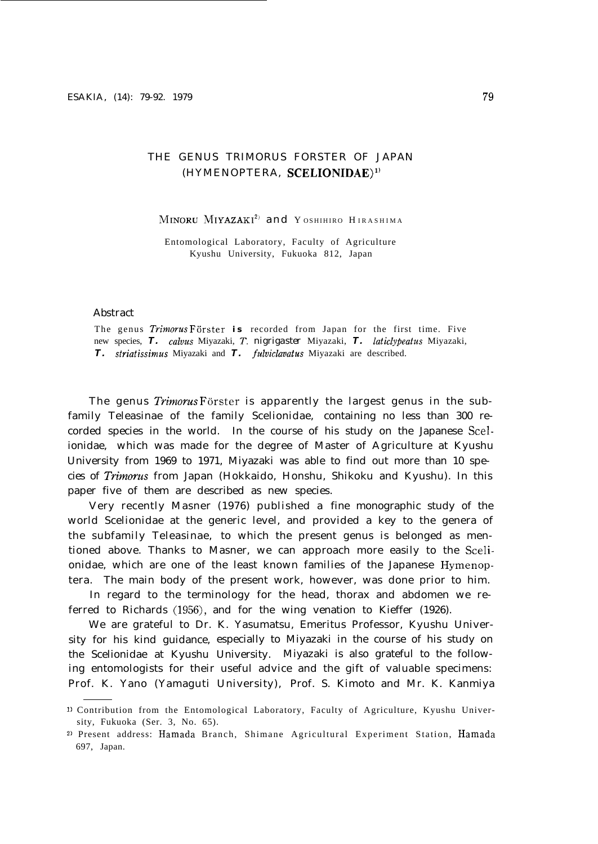# THE GENUS TRIMORUS FORSTER OF JAPAN (HYMENOPTERA, SCELIONIDAE)<sup>1)</sup>

MINORU MIYAZAKI<sup>2)</sup> and Y OSHIHIRO HIRASHIMA

Entomological Laboratory, Faculty of Agriculture Kyushu University, Fukuoka 812, Japan

#### Abstract

The genus Trimorus Förster is recorded from Japan for the first time. Five new species, T. *calvus* Miyazaki, T. nigrigaster Miyazaki, T. *laticlypeatus* Miyazaki, *T. striatissimus* Miyazaki and *T. fulviclavatus* Miyazaki are described.

The genus *Trimorus* Förster is apparently the largest genus in the subfamily Teleasinae of the family Scelionidae, containing no less than 300 recorded species in the world. In the course of his study on the Japanese Scelionidae, which was made for the degree of Master of Agriculture at Kyushu University from 1969 to 1971, Miyazaki was able to find out more than 10 species of *Trimoms* from Japan (Hokkaido, Honshu, Shikoku and Kyushu). In this paper five of them are described as new species.

Very recently Masner (1976) published a fine monographic study of the world Scelionidae at the generic level, and provided a key to the genera of the subfamily Teleasinae, to which the present genus is belonged as mentioned above. Thanks to Masner, we can approach more easily to the Scelionidae, which are one of the least known families of the Japanese Hymenoptera. The main body of the present work, however, was done prior to him.

In regard to the terminology for the head, thorax and abdomen we referred to Richards (1956), and for the wing venation to Kieffer (1926).

We are grateful to Dr. K. Yasumatsu, Emeritus Professor, Kyushu University for his kind guidance, especially to Miyazaki in the course of his study on the Scelionidae at Kyushu University. Miyazaki is also grateful to the following entomologists for their useful advice and the gift of valuable specimens: Prof. K. Yano (Yamaguti University), Prof. S. Kimoto and Mr. K. Kanmiya

<sup>1)</sup> Contribution from the Entomological Laboratory, Faculty of Agriculture, Kyushu University, Fukuoka (Ser. 3, No. 65).

<sup>2)</sup> Present address: Hamada Branch, Shimane Agricultural Experiment Station, Hamada 697, Japan.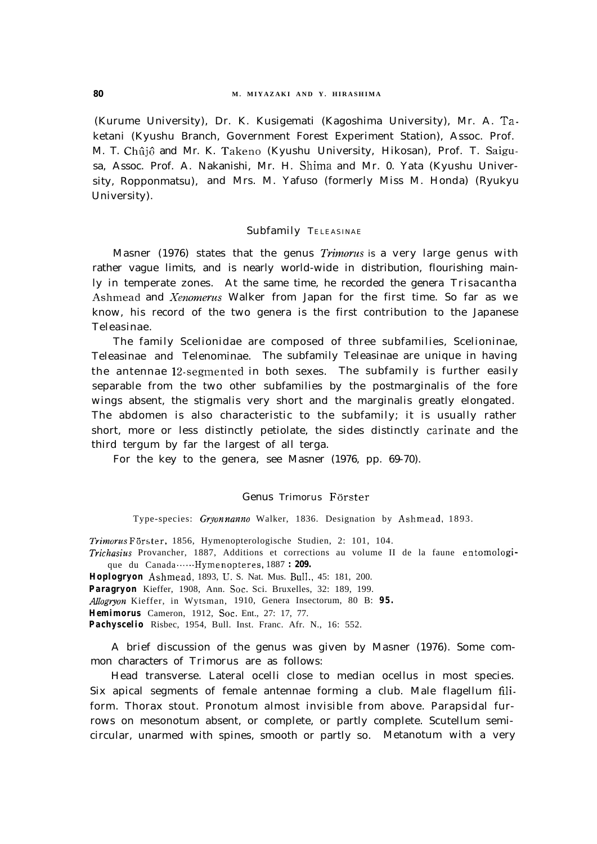(Kurume University), Dr. K. Kusigemati (Kagoshima University), Mr. A. Taketani (Kyushu Branch, Government Forest Experiment Station), Assoc. Prof. M. T. Chûjô and Mr. K. Takeno (Kyushu University, Hikosan), Prof. T. Saigusa, Assoc. Prof. A. Nakanishi, Mr. H. Shima and Mr. 0. Yata (Kyushu University, Ropponmatsu), and Mrs. M. Yafuso (formerly Miss M. Honda) (Ryukyu University).

#### Subfamily TELEASINAE

Masner (1976) states that the genus *Trimorus* is a very large genus with rather vague limits, and is nearly world-wide in distribution, flourishing mainly in temperate zones. At the same time, he recorded the genera *Trisacantha* Ashmead and *Xenomerus* Walker from Japan for the first time. So far as we know, his record of the two genera is the first contribution to the Japanese Teleasinae.

The family Scelionidae are composed of three subfamilies, Scelioninae, Teleasinae and Telenominae. The subfamily Teleasinae are unique in having the antennae 12-segmented in both sexes. The subfamily is further easily separable from the two other subfamilies by the postmarginalis of the fore wings absent, the stigmalis very short and the marginalis greatly elongated. The abdomen is also characteristic to the subfamily; it is usually rather short, more or less distinctly petiolate, the sides distinctly carinate and the third tergum by far the largest of all terga.

For the key to the genera, see Masner (1976, pp. 69-70).

#### Genus Trimorus Förster

Type-species: *Gryon nanno* Walker, 1836. Designation by Ashmead, 1893.

Trimorus Förster, 1856, Hymenopterologische Studien, 2: 101, 104.

*Trichasius* Provancher, 1887, Additions et corrections au volume II de la faune entomologique du Canada ......Hymenopteres, 1887 *: 209.* 

*Hoplogryon* Ashmead, 1893, U. S. Nat. Mus. BulI., 45: 181, 200.

Paragryon Kieffer, 1908, Ann. Soc. Sci. Bruxelles, 32: 189, 199.

*AIlogyyon* Kieffer, in Wytsman, 1910, Genera Insectorum, 80 B: *95.*

**Hemimorus** Cameron, 1912, Soc. Ent., 27: 17, 77.

Pachyscelio Risbec, 1954, Bull. Inst. Franc. Afr. N., 16: 552.

A brief discussion of the genus was given by Masner (1976). Some common characters of *Trimorus* are as follows:

Head transverse. Lateral ocelli close to median ocellus in most species. Six apical segments of female antennae forming a club. Male flagellum filiform. Thorax stout. Pronotum almost invisible from above. Parapsidal furrows on mesonotum absent, or complete, or partly complete. Scutellum semicircular, unarmed with spines, smooth or partly so. Metanotum with a very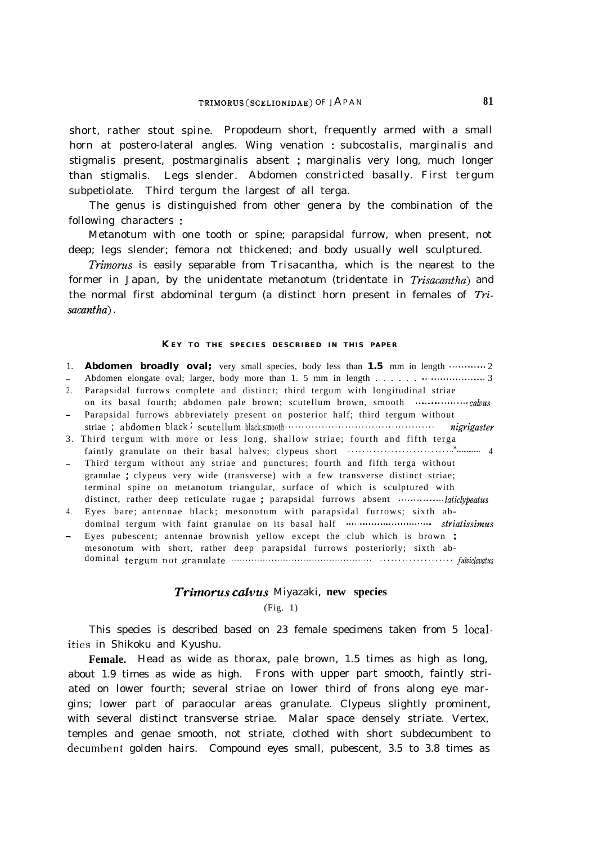short, rather stout spine. Propodeum short, frequently armed with a small horn at postero-lateral angles. Wing venation : subcostalis, marginalis and stigmalis present, postmarginalis absent ; marginalis very long, much longer than stigmalis. Legs slender. Abdomen constricted basally. First tergum subpetiolate. Third tergum the largest of all terga.

The genus is distinguished from other genera by the combination of the following characters :

Metanotum with one tooth or spine; parapsidal furrow, when present, not deep; legs slender; femora not thickened; and body usually well sculptured.

Trimorus is easily separable from *Trisacantha,* which is the nearest to the former in Japan, by the unidentate metanotum (tridentate in *Trisacantha)* and the normal first abdominal tergum (a distinct horn present in females of  $Tri$ sacantha) .

#### **K EY TO THE SPECIES DESCRIBED IN THIS PAPER**

1. **Abdomen broadly oval;** very small species, body less than 1.5 mm in length ........... 2

- \_ Abdomen elongate oval; larger, body more than 1. 5 mm in length . . . . . . ..t.................. 3 2. Parapsidal furrows complete and distinct; third tergum with longitudinal striae
- on its basal fourth; abdomen pale brown; scutellum brown, smooth . . . . . . . . . . . . . . . . . calvus - Parapsidal furrows abbreviately present on posterior half; third tergum without
- striae *; abdomen black ; scutellum black, smooth . . . . . . . . . . . . . . . . . . . . . . . . . . . . . . . . . . . . . . . . . . . . . nigrigaster* 3. Third tergum with more or less long, shallow striae; fourth and fifth terga faintly granulate on their basal halves; clypeus short . . . . . . . . . . . . . . . . . . . . . . . . . . . . ..\*.............. 4
- \_ Third tergum without any striae and punctures; fourth and fifth terga without granulae ; clypeus very wide (transverse) with a few transverse distinct striae; terminal spine on metanotum triangular, surface of which is sculptured with distinct, rather deep reticulate rugae ; parapsidal furrows absent ...................laticlypeatus
- 4. Eyes bare; antennae black; mesonotum with parapsidal furrows; sixth abdominal tergum with faint granulae on its basal half . . . . , . . . . . . . . . . . . . . . . . . . . . . . . . sty&issimus
- Eyes pubescent; antennae brownish yellow except the club which is brown ; mesonotum with short, rather deep parapsidal furrows posteriorly; sixth abdominal *tergum not granulate . . . . . . . . . . . . . . . . . . . . . . . . . . . . . . . . . . . . . . . . . . . . . . . . . . . . . . . . . . . . . . . . . . . . . f&i&v&us*

## *Trimorus calvus* Miyazaki, **new species**

## (Fig. 1)

This species is described based on 23 female specimens taken from 5 Iocalities in Shikoku and Kyushu.

**Female.** Head as wide as thorax, pale brown, 1.5 times as high as long, about 1.9 times as wide as high. Frons with upper part smooth, faintly striated on lower fourth; several striae on lower third of frons along eye margins; lower part of paraocular areas granulate. Clypeus slightly prominent, with several distinct transverse striae. Malar space densely striate. Vertex, temples and genae smooth, not striate, clothed with short subdecumbent to decumbent golden hairs. Compound eyes small, pubescent, 3.5 to 3.8 times as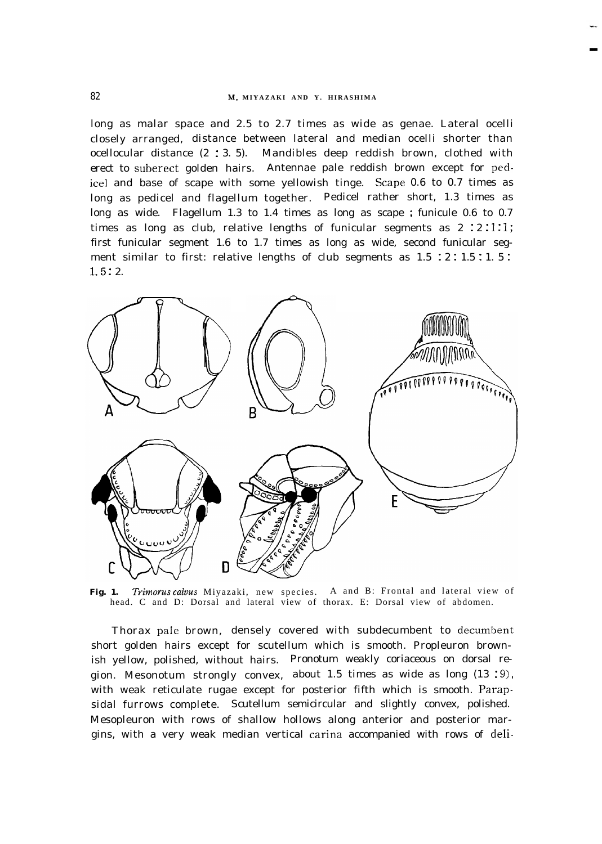## 82 **MI. MIYAZAKI AND Y. HIRASHIMA**

long as malar space and 2.5 to 2.7 times as wide as genae. Lateral ocelli closely arranged, distance between lateral and median ocelli shorter than ocellocular distance (2 : 3. 5). Mandibles deep reddish brown, clothed with erect to suberect golden hairs. Antennae pale reddish brown except for pedice1 and base of scape with some yellowish tinge. Scape 0.6 to 0.7 times as long as pedicel and flagellum together. Pedicel rather short, 1.3 times as long as wide. Flagellum 1.3 to 1.4 times as long as scape ; funicule 0.6 to 0.7 times as long as club, relative lengths of funicular segments as  $2:2:1:1;$ first funicular segment 1.6 to 1.7 times as long as wide, second funicular segment similar to first: relative lengths of club segments as  $1.5 \div 2 \div 1.5 \div 1.5 \div 1$  $1.5:2.$ 



**Fig. 1.** Trimorus *caluus* Miyazaki, new species. A and B: Frontal and lateral view of head. C and D: Dorsal and lateral view of thorax. E: Dorsal view of abdomen.

Thorax pale brown, densely covered with subdecumbent to decumbent short golden hairs except for scutellum which is smooth. Propleuron brownish yellow, polished, without hairs. Pronotum weakly coriaceous on dorsal region. Mesonotum strongly convex, about 1.5 times as wide as long  $(13:9)$ , with weak reticulate rugae except for posterior fifth which is smooth. Parapsidal furrows complete. Scutellum semicircular and slightly convex, polished. Mesopleuron with rows of shallow hollows along anterior and posterior margins, with a very weak median vertical carina accompanied with rows of deli-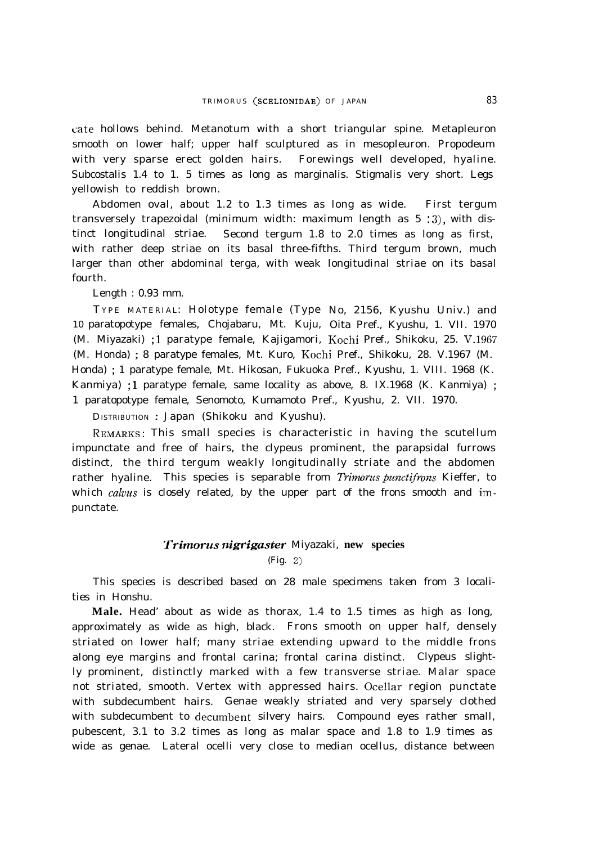cate hollows behind. Metanotum with a short triangular spine. Metapleuron smooth on lower half; upper half sculptured as in mesopleuron. Propodeum with very sparse erect golden hairs. Forewings well developed, hyaline. Subcostalis 1.4 to 1. 5 times as long as marginalis. Stigmalis very short. Legs yellowish to reddish brown.

Abdomen oval, about 1.2 to 1.3 times as long as wide. First tergum transversely trapezoidal (minimum width: maximum length as 5 :3), with distinct longitudinal striae. Second tergum 1.8 to 2.0 times as long as first, with rather deep striae on its basal three-fifths. Third tergum brown, much larger than other abdominal terga, with weak longitudinal striae on its basal fourth.

Length : 0.93 mm.

T YPE MATERIAL: Holotype female (Type No, 2156, Kyushu Univ.) and 10 paratopotype females, Chojabaru, Mt. Kuju, Oita Pref., Kyushu, 1. VII. 1970 (M. Miyazaki) ; <sup>1</sup> paratype female, Kajigamori, Kochi Pref., Shikoku, 25. V-1967 (M. Honda) ; 8 paratype females, Mt. Kuro, Kochi Pref., Shikoku, 28. V.1967 (M. Honda) ; 1 paratype female, Mt. Hikosan, Fukuoka Pref., Kyushu, 1. VIII. 1968 (K. Kanmiya) ; <sup>1</sup> paratype female, same locality as above, 8. IX.1968 (K. Kanmiya) ; 1 paratopotype female, Senomoto, Kumamoto Pref., Kyushu, 2. VII. 1970.

DISTRIBUTION : Japan (Shikoku and Kyushu).

REMARKS: This small species is characteristic in having the scutellum impunctate and free of hairs, the clypeus prominent, the parapsidal furrows distinct, the third tergum weakly longitudinally striate and the abdomen rather hyaline. This species is separable from *Trimorus punctifrons* Kieffer, to which *calvus* is closely related, by the upper part of the frons smooth and impunctate.

## *Trimorus nigrigaster* Miyazaki, **new species** (Fig. 2)

This species is described based on 28 male specimens taken from 3 localities in Honshu.

**Male.** Head' about as wide as thorax, 1.4 to 1.5 times as high as long, approximately as wide as high, black. Frons smooth on upper half, densely striated on lower half; many striae extending upward to the middle frons along eye margins and frontal carina; frontal carina distinct. Clypeus slightly prominent, distinctly marked with a few transverse striae. Malar space not striated, smooth. Vertex with appressed hairs. Ocellar region punctate with subdecumbent hairs. Genae weakly striated and very sparsely clothed with subdecumbent to decumbent silvery hairs. Compound eyes rather small, pubescent, 3.1 to 3.2 times as long as malar space and 1.8 to 1.9 times as wide as genae. Lateral ocelli very close to median ocellus, distance between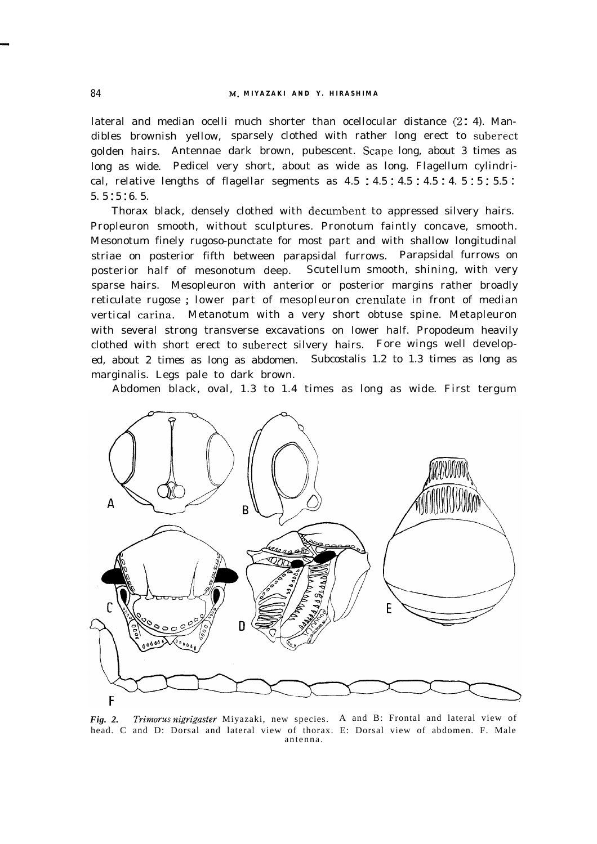lateral and median ocelli much shorter than ocellocular distance  $(2: 4)$ . Mandibles brownish yellow, sparsely clothed with rather long erect to suberect golden hairs. Antennae dark brown, pubescent. Scape long, about 3 times as long as wide. Pedicel very short, about as wide as long. Flagellum cylindrical, relative lengths of flagellar segments as  $4.5:4.5:4.5:4.5:4.5:5:5.5$ : 5. 5 : 5 : 6. 5.

Thorax black, densely clothed with decumbent to appressed silvery hairs. Propleuron smooth, without sculptures. Pronotum faintly concave, smooth. Mesonotum finely rugoso-punctate for most part and with shallow longitudinal striae on posterior fifth between parapsidal furrows. Parapsidal furrows on posterior half of mesonotum deep. Scutellum smooth, shining, with very sparse hairs. Mesopleuron with anterior or posterior margins rather broadly reticulate rugose ; lower part of mesopleuron crenulate in front of median vertical carina. Metanotum with a very short obtuse spine. Metapleuron with several strong transverse excavations on lower half. Propodeum heavily clothed with short erect to suberect silvery hairs. Fore wings well developed, about 2 times as long as abdomen. Subcostalis 1.2 to 1.3 times as long as marginalis. Legs pale to dark brown.

Abdomen black, oval, 1.3 to 1.4 times as long as wide. First tergum



*Fig. 2. Trimorus nigrigaster* Miyazaki, new species. A and B: Frontal and lateral view of head. C and D: Dorsal and lateral view of thorax. E: Dorsal view of abdomen. F. Male antenna.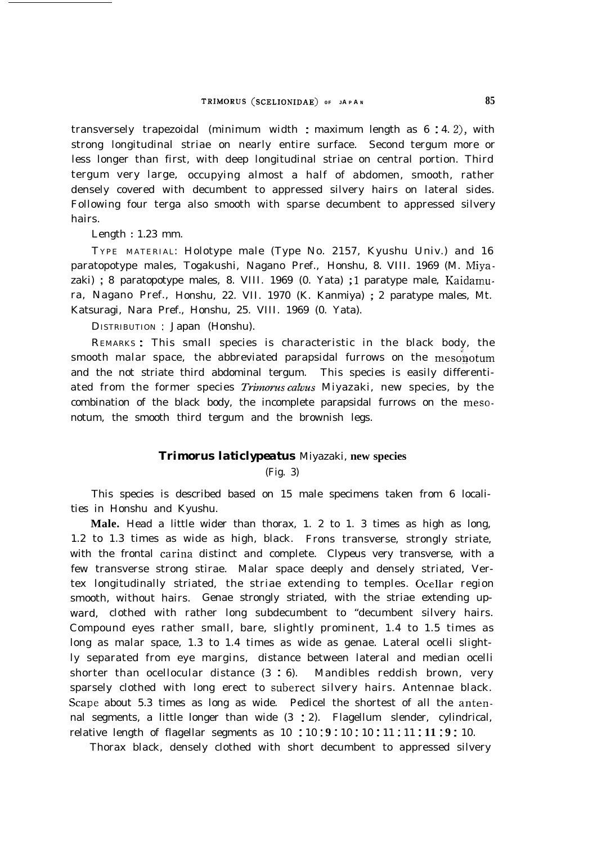transversely trapezoidal (minimum width : maximum length as  $6:4.2$ ), with strong longitudinal striae on nearly entire surface. Second tergum more or less longer than first, with deep longitudinal striae on central portion. Third tergum very large, occupying almost a half of abdomen, smooth, rather densely covered with decumbent to appressed silvery hairs on lateral sides. Following four terga also smooth with sparse decumbent to appressed silvery hairs.

Length : 1.23 mm.

T YPE MATERIAL: Holotype male (Type No. 2157, Kyushu Univ.) and 16 paratopotype males, Togakushi, Nagano Pref., Honshu, 8. VIII. 1969 (M. Miyazaki) ; 8 paratopotype males, 8. VIII. 1969 (0. Yata) ; <sup>1</sup> paratype male, Kaidamura, Nagano Pref., Honshu, 22. VII. 1970 (K. Kanmiya) ; 2 paratype males, Mt. Katsuragi, Nara Pref., Honshu, 25. VIII. 1969 (0. Yata).

DISTRIBUTION : Japan (Honshu).

REMARKS : This small species is characteristic in the black body, the smooth malar space, the abbreviated parapsidal furrows on the mesonotum and the not striate third abdominal tergum. This species is easily differentiated from the former species *Trimorus calvus* Miyazaki, new species, by the combination of the black body, the incomplete parapsidal furrows on the mesonotum, the smooth third tergum and the brownish legs.

#### *Trimorus laticlypeatus* Miyazaki, **new species**

(Fig. 3)

This species is described based on 15 male specimens taken from 6 localities in Honshu and Kyushu.

**Male.** Head a little wider than thorax, 1. 2 to 1. 3 times as high as long, 1.2 to 1.3 times as wide as high, black. Frons transverse, strongly striate, with the frontal carina distinct and complete. Clypeus very transverse, with a few transverse strong stirae. Malar space deeply and densely striated, Vertex longitudinally striated, the striae extending to temples. Ocellar region smooth, without hairs. Genae strongly striated, with the striae extending upward, clothed with rather long subdecumbent to "decumbent silvery hairs. Compound eyes rather small, bare, slightly prominent, 1.4 to 1.5 times as long as malar space, 1.3 to 1.4 times as wide as genae. Lateral ocelli slightly separated from eye margins, distance between lateral and median ocelli shorter than ocellocular distance  $(3 : 6)$ . Mandibles reddish brown, very sparsely clothed with long erect to suberect silvery hairs. Antennae black. Scape about 5.3 times as long as wide. Pedicel the shortest of all the antennal segments, a little longer than wide (3 : 2). Flagellum slender, cylindrical, relative length of flagellar segments as 10 : 10 **1 9 :** 10 : 10 : 11 : 11 : **11 : 9 :** 10.

Thorax black, densely clothed with short decumbent to appressed silvery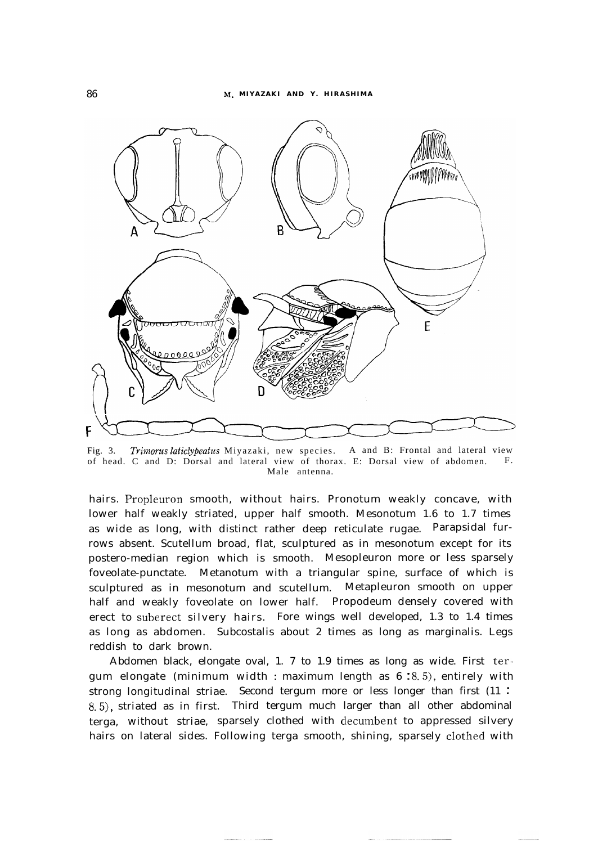

Fig. 3. *Trimorus laticlypeatus* Miyazaki, new species. A and B: Frontal and lateral view of head. C and D: Dorsal and lateral view of thorax. E: Dorsal view of abdomen. F. Male antenna.

hairs. Propleuron smooth, without hairs. Pronotum weakly concave, with lower half weakly striated, upper half smooth. Mesonotum 1.6 to 1.7 times as wide as long, with distinct rather deep reticulate rugae. Parapsidal furrows absent. Scutellum broad, flat, sculptured as in mesonotum except for its postero-median region which is smooth. Mesopleuron more or less sparsely foveolate-punctate. Metanotum with a triangular spine, surface of which is sculptured as in mesonotum and scutellum. Metapleuron smooth on upper half and weakly foveolate on lower half. Propodeum densely covered with erect to suberect silvery hairs. Fore wings well developed, 1.3 to 1.4 times as long as abdomen. Subcostalis about 2 times as long as marginalis. Legs reddish to dark brown.

Abdomen black, elongate oval, 1. 7 to 1.9 times as long as wide. First tergum elongate (minimum width : maximum length as  $6:8.5$ ), entirely with strong longitudinal striae. Second tergum more or less longer than first (11: 8.5), striated as in first. Third tergum much larger than all other abdominal terga, without striae, sparsely clothed with decumbent to appressed silvery hairs on lateral sides. Following terga smooth, shining, sparsely cIothed with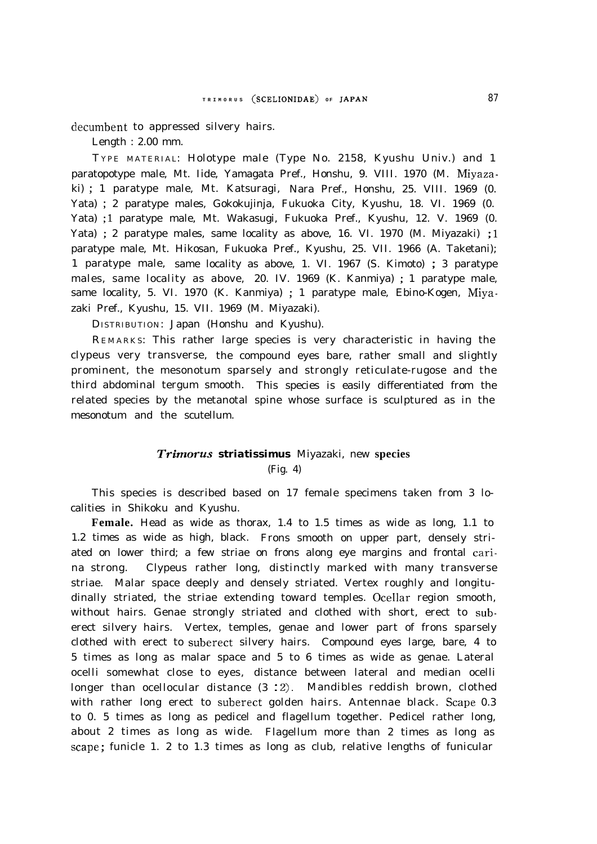decumbent to appressed silvery hairs.

Length : 2.00 mm.

T YPE MATERIAL: Holotype male (Type No. 2158, Kyushu Univ.) and 1 paratopotype male, Mt. Iide, Yamagata Pref., Honshu, 9. VIII. 1970 (M. Miyazaki) ; 1 paratype male, Mt. Katsuragi, Nara Pref., Honshu, 25. VIII. 1969 (0. Yata) ; 2 paratype males, Gokokujinja, Fukuoka City, Kyushu, 18. VI. 1969 (0. Yata) ; <sup>1</sup> paratype male, Mt. Wakasugi, Fukuoka Pref., Kyushu, 12. V. 1969 (0. Yata) ; 2 paratype males, same locality as above, 16. VI. 1970 (M. Miyazaki) ; <sup>1</sup> paratype male, Mt. Hikosan, Fukuoka Pref., Kyushu, 25. VII. 1966 (A. Taketani); 1 paratype male, same locality as above, 1. VI. 1967 (S. Kimoto) ; 3 paratype males, same locality as above, 20. IV. 1969 (K. Kanmiya) ; 1 paratype male, same locality, 5. VI. 1970 (K. Kanmiya) ; 1 paratype male, Ebino-Kogen, Miyazaki Pref., Kyushu, 15. VII. 1969 (M. Miyazaki).

DISTRIBUTION: Japan (Honshu and Kyushu).

REMARKS: This rather large species is very characteristic in having the clypeus very transverse, the compound eyes bare, rather small and slightly prominent, the mesonotum sparsely and strongly reticulate-rugose and the third abdominal tergum smooth. This species is easily differentiated from the related species by the metanotal spine whose surface is sculptured as in the mesonotum and the scutellum.

## *Trimorus striatissimus* Miyazaki, new **species** (Fig. 4)

This species is described based on 17 female specimens taken from 3 localities in Shikoku and Kyushu.

**Female.** Head as wide as thorax, 1.4 to 1.5 times as wide as long, 1.1 to 1.2 times as wide as high, black. Frons smooth on upper part, densely striated on lower third; a few striae on frons along eye margins and frontal carina strong. Clypeus rather long, distinctly marked with many transverse striae. Malar space deeply and densely striated. Vertex roughly and longitudinally striated, the striae extending toward temples. Ocellar region smooth, without hairs. Genae strongly striated and clothed with short, erect to suberect silvery hairs. Vertex, temples, genae and lower part of frons sparsely clothed with erect to suberect silvery hairs. Compound eyes large, bare, 4 to 5 times as long as malar space and 5 to 6 times as wide as genae. Lateral ocelli somewhat close to eyes, distance between lateral and median ocelli longer than ocellocular distance (3 : 2). Mandibles reddish brown, clothed with rather long erect to suberect golden hairs. Antennae black. Scape 0.3 to 0. 5 times as long as pedicel and flagellum together. Pedicel rather long, about 2 times as long as wide. Flagellum more than 2 times as long as scape ; funicle 1. 2 to 1.3 times as long as club, relative lengths of funicular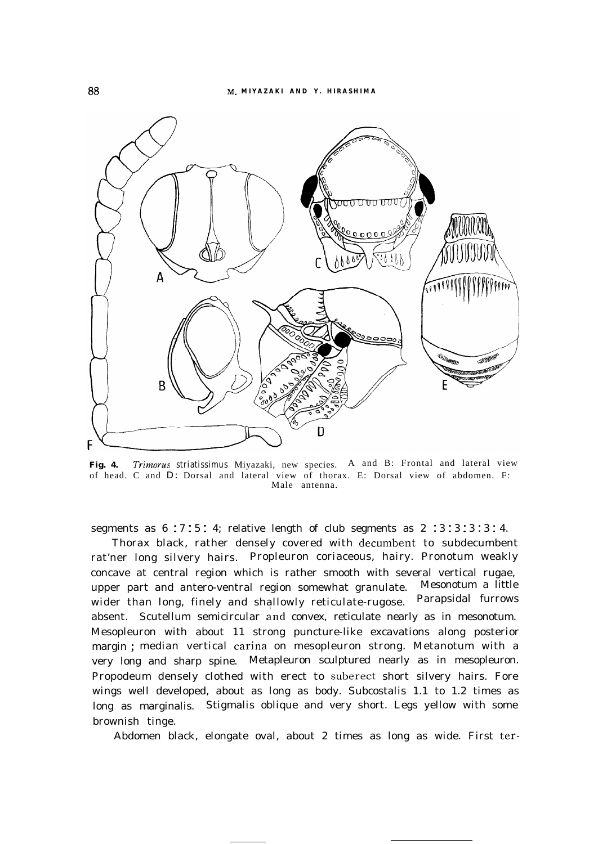

**Fig. 4.** *Trimorus striatissimus* Miyazaki, new species. A and B: Frontal and lateral view of head. C and D: Dorsal and lateral view of thorax. E: Dorsal view of abdomen. F: Male antenna.

segments as  $6:7:5:4$ ; relative length of club segments as  $2:3:3:3:3:4$ .

Thorax black, rather densely covered with decumbent to subdecumbent rat'ner long silvery hairs. Propleuron coriaceous, hairy. Pronotum weakly concave at central region which is rather smooth with several vertical rugae, upper part and antero-ventral region somewhat granulate. Mesonotum a little<br>wider than long, finely and shallowly reticulate-rugose. Parapsidal furrows wider than long, finely and shallowly reticulate-rugose. absent. Scutellum semicircular and convex, reticulate nearly as in mesonotum. Mesopleuron with about 11 strong puncture-like excavations along posterior margin ; median vertical carina on mesopleuron strong. Metanotum with a very long and sharp spine. Metapleuron sculptured nearly as in mesopleuron. Propodeum densely clothed with erect to suberect short silvery hairs. Fore wings well developed, about as long as body. Subcostalis 1.1 to 1.2 times as long as marginalis. Stigmalis oblique and very short. Legs yellow with some brownish tinge.

Abdomen black, elongate oval, about 2 times as long as wide. First ter-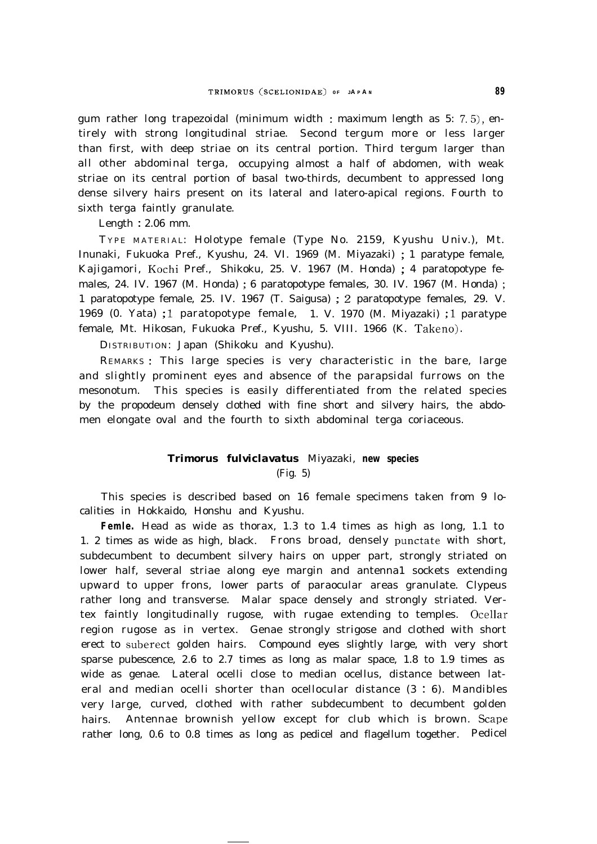gum rather long trapezoidal (minimum width : maximum length as 5: 7.5), entirely with strong longitudinal striae. Second tergum more or less larger than first, with deep striae on its central portion. Third tergum larger than all other abdominal terga, occupying almost a half of abdomen, with weak striae on its central portion of basal two-thirds, decumbent to appressed long dense silvery hairs present on its lateral and latero-apical regions. Fourth to sixth terga faintly granulate.

Length : 2.06 mm.

T YPE MATERIAL: Holotype female (Type No. 2159, Kyushu Univ.), Mt. Inunaki, Fukuoka Pref., Kyushu, 24. VI. 1969 (M. Miyazaki) ; 1 paratype female, Kajigamori, Kochi Pref., Shikoku, 25. V. 1967 (M. Honda) ; 4 paratopotype females, 24. IV. 1967 (M. Honda) ; 6 paratopotype females, 30. IV. 1967 (M. Honda) ; 1 paratopotype female, 25. IV. 1967 (T. Saigusa) ; 2 paratopotype females, 29. V. 1969 (0. Yata) ; <sup>1</sup> paratopotype female, 1. V. 1970 (M. Miyazaki) ; <sup>1</sup> paratype female, Mt. Hikosan, Fukuoka Pref., Kyushu, 5. VIII. 1966 (K. Takeno).

DISTRIBUTION: Japan (Shikoku and Kyushu).

REMARKS : This large species is very characteristic in the bare, large and slightly prominent eyes and absence of the parapsidal furrows on the mesonotum. This species is easily differentiated from the related species by the propodeum densely clothed with fine short and silvery hairs, the abdomen elongate oval and the fourth to sixth abdominal terga coriaceous.

# *Trimorus fulviclavatus* Miyazaki, **new species** (Fig. 5)

This species is described based on 16 female specimens taken from 9 localities in Hokkaido, Honshu and Kyushu.

**Femle.** Head as wide as thorax, 1.3 to 1.4 times as high as long, 1.1 to 1. 2 times as wide as high, black. Frons broad, densely punctate with short, subdecumbent to decumbent silvery hairs on upper part, strongly striated on lower half, several striae along eye margin and antenna1 sockets extending upward to upper frons, lower parts of paraocular areas granulate. Clypeus rather long and transverse. Malar space densely and strongly striated. Vertex faintly longitudinally rugose, with rugae extending to temples. Ocellar region rugose as in vertex. Genae strongly strigose and clothed with short erect to suberect golden hairs. Compound eyes slightly large, with very short sparse pubescence, 2.6 to 2.7 times as long as malar space, 1.8 to 1.9 times as wide as genae. Lateral ocelli close to median ocellus, distance between lateral and median ocelli shorter than ocellocular distance (3 : 6). Mandibles very large, curved, clothed with rather subdecumbent to decumbent golden hairs. Antennae brownish yellow except for club which is brown. Scape rather long, 0.6 to 0.8 times as long as pedicel and flagellum together. Pedicel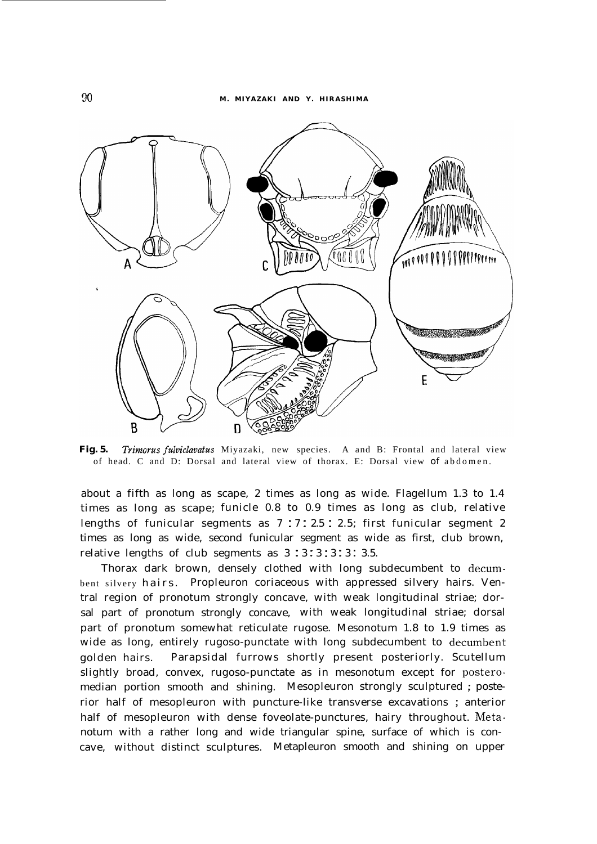

**Fig. 5.** *Trimorus fdviclavatus* Miyazaki, new species. A and B: Frontal and lateral view of head. C and D: Dorsal and lateral view of thorax. E: Dorsal view of abdomen.

about a fifth as long as scape, 2 times as long as wide. Flagellum 1.3 to 1.4 times as long as scape; funicle 0.8 to 0.9 times as long as club, relative lengths of funicular segments as 7 : 7 : 2.5 : 2.5; first funicular segment 2 times as long as wide, second funicular segment as wide as first, club brown, relative lengths of club segments as 3:3:3:3:3:3.5.

Thorax dark brown, densely clothed with long subdecumbent to decumbent silvery hairs. Propleuron coriaceous with appressed silvery hairs. Ventral region of pronotum strongly concave, with weak longitudinal striae; dorsal part of pronotum strongly concave, with weak longitudinal striae; dorsal part of pronotum somewhat reticulate rugose. Mesonotum 1.8 to 1.9 times as wide as long, entirely rugoso-punctate with long subdecumbent to decumbent golden hairs. Parapsidal furrows shortly present posteriorly. Scutellum slightly broad, convex, rugoso-punctate as in mesonotum except for posteromedian portion smooth and shining. Mesopleuron strongly sculptured ; posterior half of mesopleuron with puncture-like transverse excavations ; anterior half of mesopleuron with dense foveolate-punctures, hairy throughout. Metanotum with a rather long and wide triangular spine, surface of which is concave, without distinct sculptures. Metapleuron smooth and shining on upper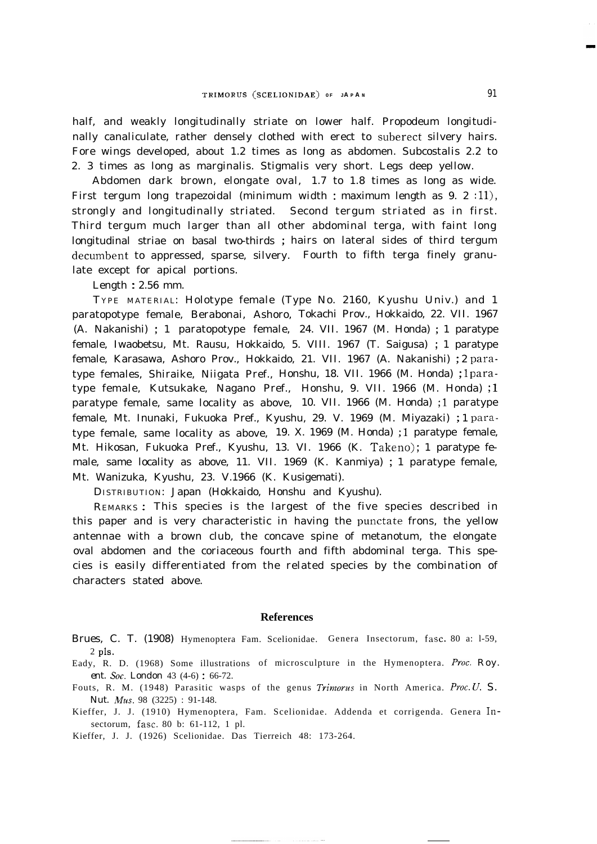half, and weakly longitudinally striate on lower half. Propodeum longitudinally canaliculate, rather densely clothed with erect to suberect silvery hairs. Fore wings developed, about 1.2 times as long as abdomen. Subcostalis 2.2 to 2. 3 times as long as marginalis. Stigmalis very short. Legs deep yellow.

Abdomen dark brown, elongate oval, 1.7 to 1.8 times as long as wide. First tergum long trapezoidal (minimum width : maximum length as  $9. 2$  :11), strongly and longitudinally striated. Second tergum striated as in first. Third tergum much larger than all other abdominal terga, with faint long longitudinal striae on basal two-thirds ; hairs on lateral sides of third tergum decumbent to appressed, sparse, silvery. Fourth to fifth terga finely granulate except for apical portions.

Length : 2.56 mm.

T YPE MATERIAL: Holotype female (Type No. 2160, Kyushu Univ.) and 1 paratopotype female, Berabonai, Ashoro, Tokachi Prov., Hokkaido, 22. VII. 1967 (A. Nakanishi) ; 1 paratopotype female, 24. VII. 1967 (M. Honda) ; 1 paratype female, Iwaobetsu, Mt. Rausu, Hokkaido, 5. VIII. 1967 (T. Saigusa) ; 1 paratype female, Karasawa, Ashoro Prov., Hokkaido, 21. VII. 1967 (A. Nakanishi) ; 2 paratype females, Shiraike, Niigata Pref., Honshu, 18. VII. 1966 (M. Honda) ; 1 paratype female, Kutsukake, Nagano Pref., Honshu, 9. VII. 1966 (M. Honda) ; <sup>1</sup> paratype female, same locality as above, 10. VII. 1966 (M. Honda) ; <sup>1</sup> paratype female, Mt. Inunaki, Fukuoka Pref., Kyushu, 29. V. 1969 (M. Miyazaki) ; 1 paratype female, same locality as above, 19. X. 1969 (M. Honda) ; <sup>1</sup> paratype female, Mt. Hikosan, Fukuoka Pref., Kyushu, 13. VI. 1966 (K. Takeno); 1 paratype female, same locality as above, 11. VII. 1969 (K. Kanmiya) ; 1 paratype female, Mt. Wanizuka, Kyushu, 23. V.1966 (K. Kusigemati).

DISTRIBUTION: Japan (Hokkaido, Honshu and Kyushu).

REMARKS : This species is the largest of the five species described in this paper and is very characteristic in having the punctate frons, the yellow antennae with a brown club, the concave spine of metanotum, the elongate oval abdomen and the coriaceous fourth and fifth abdominal terga. This species is easily differentiated from the related species by the combination of characters stated above.

#### **References**

- Brues, C. T. (1908) Hymenoptera Fam. Scelionidae. Genera Insectorum, fasc. 80 a: 1-59,  $2$  pls.
- Eady, R. D. (1968) Some illustrations of microsculpture in the Hymenoptera. *Proc. Roy. ent. Sm. London* 43 (4-6) : 66-72.
- Fouts, R. M. (1948) Parasitic wasps of the genus *Trimorus* in North America. *Proc. U.* S. *Nut. Mm.* 98 (3225) : 91-148.
- Kieffer, J. J. (1910) Hymenoptera, Fam. Scelionidae. Addenda et corrigenda. Genera Insectorum, fasc. 80 b: 61-112, 1 pl.

Kieffer, J. J. (1926) Scelionidae. Das Tierreich 48: 173-264.